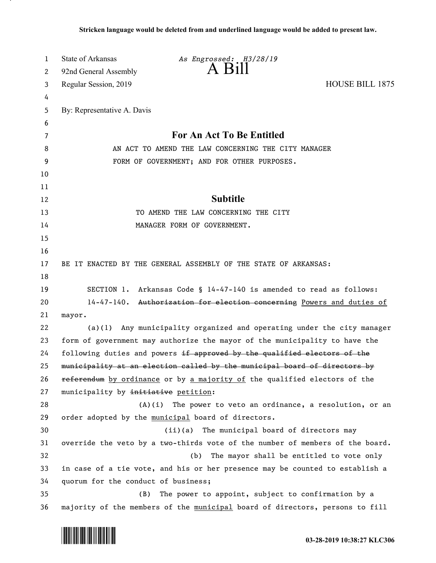| 1        | State of Arkansas                                                                                                                                     | As Engrossed: H3/28/19                                                        |                                          |
|----------|-------------------------------------------------------------------------------------------------------------------------------------------------------|-------------------------------------------------------------------------------|------------------------------------------|
| 2        | 92nd General Assembly                                                                                                                                 | $A$ $B$ <sub>1</sub> $\parallel$                                              |                                          |
| 3        | Regular Session, 2019                                                                                                                                 |                                                                               | HOUSE BILL 1875                          |
| 4        |                                                                                                                                                       |                                                                               |                                          |
| 5        | By: Representative A. Davis                                                                                                                           |                                                                               |                                          |
| 6        |                                                                                                                                                       |                                                                               |                                          |
| 7        | For An Act To Be Entitled                                                                                                                             |                                                                               |                                          |
| 8        | AN ACT TO AMEND THE LAW CONCERNING THE CITY MANAGER                                                                                                   |                                                                               |                                          |
| 9        |                                                                                                                                                       | FORM OF GOVERNMENT; AND FOR OTHER PURPOSES.                                   |                                          |
| 10       |                                                                                                                                                       |                                                                               |                                          |
| 11       |                                                                                                                                                       |                                                                               |                                          |
| 12       |                                                                                                                                                       | <b>Subtitle</b>                                                               |                                          |
| 13       | TO AMEND THE LAW CONCERNING THE CITY                                                                                                                  |                                                                               |                                          |
| 14       |                                                                                                                                                       | MANAGER FORM OF GOVERNMENT.                                                   |                                          |
| 15       |                                                                                                                                                       |                                                                               |                                          |
| 16       |                                                                                                                                                       |                                                                               |                                          |
| 17       |                                                                                                                                                       | BE IT ENACTED BY THE GENERAL ASSEMBLY OF THE STATE OF ARKANSAS:               |                                          |
| 18       |                                                                                                                                                       |                                                                               |                                          |
| 19       |                                                                                                                                                       | SECTION 1. Arkansas Code § 14-47-140 is amended to read as follows:           |                                          |
| 20       |                                                                                                                                                       | 14-47-140. Authorization for election concerning Powers and duties of         |                                          |
| 21       | mayor.                                                                                                                                                |                                                                               |                                          |
| 22       | Any municipality organized and operating under the city manager<br>(a)(1)                                                                             |                                                                               |                                          |
| 23       | form of government may authorize the mayor of the municipality to have the                                                                            |                                                                               |                                          |
| 24       | following duties and powers if approved by the qualified electors of the<br>municipality at an election called by the municipal board of directors by |                                                                               |                                          |
| 25       |                                                                                                                                                       |                                                                               |                                          |
| 26<br>27 | municipality by initiative petition:                                                                                                                  | referendum by ordinance or by a majority of the qualified electors of the     |                                          |
| 28       | (A)(i)                                                                                                                                                | The power to veto an ordinance, a resolution, or an                           |                                          |
| 29       |                                                                                                                                                       | order adopted by the municipal board of directors.                            |                                          |
| 30       |                                                                                                                                                       | (ii)(a)<br>The municipal board of directors may                               |                                          |
| 31       |                                                                                                                                                       | override the veto by a two-thirds vote of the number of members of the board. |                                          |
| 32       |                                                                                                                                                       | (b)                                                                           | The mayor shall be entitled to vote only |
| 33       |                                                                                                                                                       | in case of a tie vote, and his or her presence may be counted to establish a  |                                          |
| 34       | quorum for the conduct of business;                                                                                                                   |                                                                               |                                          |
| 35       | (B)                                                                                                                                                   | The power to appoint, subject to confirmation by a                            |                                          |
| 36       |                                                                                                                                                       | majority of the members of the municipal board of directors, persons to fill  |                                          |

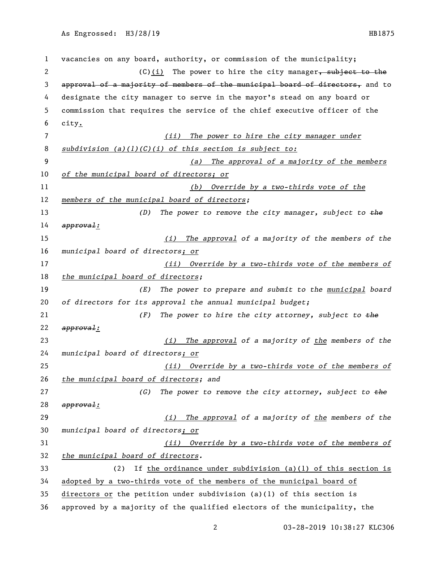vacancies on any board, authority, or commission of the municipality; 2 (C)(i) The power to hire the city manager, subject to the approval of a majority of members of the municipal board of directors, and to designate the city manager to serve in the mayor's stead on any board or commission that requires the service of the chief executive officer of the city. *(ii) The power to hire the city manager under subdivision (a)(1)(C)(i) of this section is subject to: (a) The approval of a majority of the members of the municipal board of directors; or (b) Override by a two-thirds vote of the members of the municipal board of directors; (D) The power to remove the city manager, subject to the approval: (i) The approval of a majority of the members of the municipal board of directors; or (ii) Override by a two-thirds vote of the members of the municipal board of directors; (E) The power to prepare and submit to the municipal board of directors for its approval the annual municipal budget; (F) The power to hire the city attorney, subject to the approval: (i) The approval of a majority of the members of the municipal board of directors; or (ii) Override by a two-thirds vote of the members of the municipal board of directors; and (G) The power to remove the city attorney, subject to the approval: (i) The approval of a majority of the members of the municipal board of directors; or (ii) Override by a two-thirds vote of the members of the municipal board of directors.* (2) If the ordinance under subdivision (a)(1) of this section is adopted by a two-thirds vote of the members of the municipal board of directors or the petition under subdivision (a)(1) of this section is approved by a majority of the qualified electors of the municipality, the

03-28-2019 10:38:27 KLC306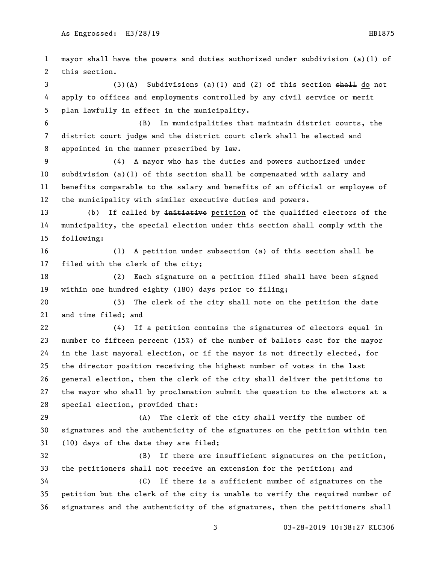mayor shall have the powers and duties authorized under subdivision (a)(1) of this section. 3 (3)(A) Subdivisions (a)(1) and (2) of this section <del>shall</del> do not apply to offices and employments controlled by any civil service or merit plan lawfully in effect in the municipality. (B) In municipalities that maintain district courts, the district court judge and the district court clerk shall be elected and appointed in the manner prescribed by law. (4) A mayor who has the duties and powers authorized under subdivision (a)(1) of this section shall be compensated with salary and benefits comparable to the salary and benefits of an official or employee of the municipality with similar executive duties and powers. 13 (b) If called by initiative petition of the qualified electors of the municipality, the special election under this section shall comply with the following: (1) A petition under subsection (a) of this section shall be filed with the clerk of the city; (2) Each signature on a petition filed shall have been signed within one hundred eighty (180) days prior to filing; (3) The clerk of the city shall note on the petition the date and time filed; and (4) If a petition contains the signatures of electors equal in number to fifteen percent (15%) of the number of ballots cast for the mayor in the last mayoral election, or if the mayor is not directly elected, for the director position receiving the highest number of votes in the last general election, then the clerk of the city shall deliver the petitions to the mayor who shall by proclamation submit the question to the electors at a special election, provided that: (A) The clerk of the city shall verify the number of signatures and the authenticity of the signatures on the petition within ten (10) days of the date they are filed; (B) If there are insufficient signatures on the petition, the petitioners shall not receive an extension for the petition; and (C) If there is a sufficient number of signatures on the petition but the clerk of the city is unable to verify the required number of signatures and the authenticity of the signatures, then the petitioners shall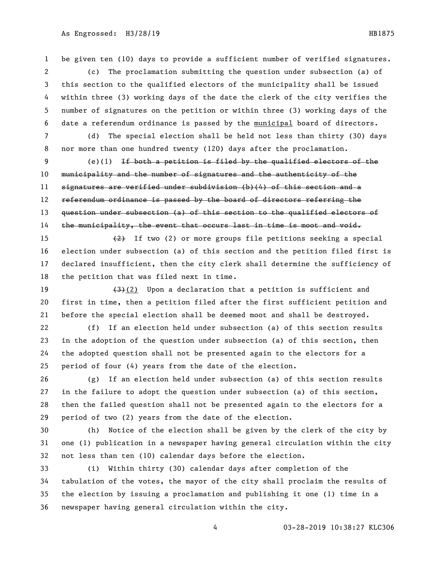be given ten (10) days to provide a sufficient number of verified signatures.

 (c) The proclamation submitting the question under subsection (a) of this section to the qualified electors of the municipality shall be issued within three (3) working days of the date the clerk of the city verifies the number of signatures on the petition or within three (3) working days of the date a referendum ordinance is passed by the municipal board of directors.

 (d) The special election shall be held not less than thirty (30) days nor more than one hundred twenty (120) days after the proclamation.

 (e)(1) If both a petition is filed by the qualified electors of the municipality and the number of signatures and the authenticity of the signatures are verified under subdivision (b)(4) of this section and a 12 referendum ordinance is passed by the board of directors referring the question under subsection (a) of this section to the qualified electors of 14 the municipality, the event that occurs last in time is moot and void.

 $\left\{\frac{2}{2}\right\}$  If two (2) or more groups file petitions seeking a special election under subsection (a) of this section and the petition filed first is declared insufficient, then the city clerk shall determine the sufficiency of the petition that was filed next in time.

19  $(3)(2)$  Upon a declaration that a petition is sufficient and first in time, then a petition filed after the first sufficient petition and before the special election shall be deemed moot and shall be destroyed.

 (f) If an election held under subsection (a) of this section results in the adoption of the question under subsection (a) of this section, then the adopted question shall not be presented again to the electors for a period of four (4) years from the date of the election.

 (g) If an election held under subsection (a) of this section results in the failure to adopt the question under subsection (a) of this section, then the failed question shall not be presented again to the electors for a period of two (2) years from the date of the election.

 (h) Notice of the election shall be given by the clerk of the city by one (1) publication in a newspaper having general circulation within the city not less than ten (10) calendar days before the election.

 (i) Within thirty (30) calendar days after completion of the tabulation of the votes, the mayor of the city shall proclaim the results of the election by issuing a proclamation and publishing it one (1) time in a newspaper having general circulation within the city.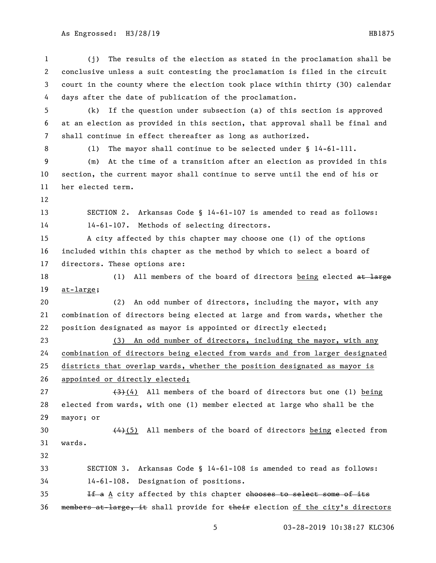(j) The results of the election as stated in the proclamation shall be conclusive unless a suit contesting the proclamation is filed in the circuit court in the county where the election took place within thirty (30) calendar days after the date of publication of the proclamation. (k) If the question under subsection (a) of this section is approved at an election as provided in this section, that approval shall be final and shall continue in effect thereafter as long as authorized. 8 (1) The mayor shall continue to be selected under § 14-61-111. (m) At the time of a transition after an election as provided in this section, the current mayor shall continue to serve until the end of his or her elected term. SECTION 2. Arkansas Code § 14-61-107 is amended to read as follows: 14-61-107. Methods of selecting directors. A city affected by this chapter may choose one (1) of the options included within this chapter as the method by which to select a board of directors. These options are: 18 (1) All members of the board of directors being elected at large at-large; (2) An odd number of directors, including the mayor, with any combination of directors being elected at large and from wards, whether the position designated as mayor is appointed or directly elected; (3) An odd number of directors, including the mayor, with any combination of directors being elected from wards and from larger designated districts that overlap wards, whether the position designated as mayor is 26 appointed or directly elected;  $(4)$  (4) All members of the board of directors but one (1) being elected from wards, with one (1) member elected at large who shall be the mayor; or 30 (4)(5) All members of the board of directors being elected from wards. SECTION 3. Arkansas Code § 14-61-108 is amended to read as follows: 14-61-108. Designation of positions. 35 If a A city affected by this chapter chooses to select some of its 36 members at large, it shall provide for their election of the city's directors

03-28-2019 10:38:27 KLC306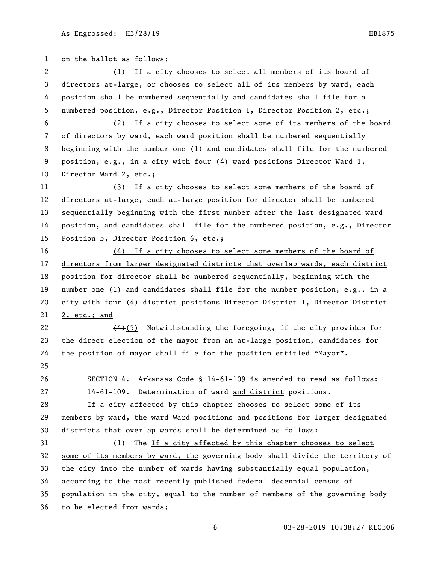on the ballot as follows: (1) If a city chooses to select all members of its board of directors at-large, or chooses to select all of its members by ward, each position shall be numbered sequentially and candidates shall file for a numbered position, e.g., Director Position 1, Director Position 2, etc.; (2) If a city chooses to select some of its members of the board of directors by ward, each ward position shall be numbered sequentially beginning with the number one (1) and candidates shall file for the numbered position, e.g., in a city with four (4) ward positions Director Ward 1, 10 Director Ward 2, etc.; (3) If a city chooses to select some members of the board of directors at-large, each at-large position for director shall be numbered sequentially beginning with the first number after the last designated ward position, and candidates shall file for the numbered position, e.g., Director Position 5, Director Position 6, etc.; (4) If a city chooses to select some members of the board of directors from larger designated districts that overlap wards, each district position for director shall be numbered sequentially, beginning with the number one (1) and candidates shall file for the number position, e.g., in a city with four (4) district positions Director District 1, Director District 2, etc.; and  $(4)$  (5) Notwithstanding the foregoing, if the city provides for the direct election of the mayor from an at-large position, candidates for the position of mayor shall file for the position entitled "Mayor". SECTION 4. Arkansas Code § 14-61-109 is amended to read as follows: 14-61-109. Determination of ward and district positions. **If a city affected by this chapter chooses to select some of its** 29 members by ward, the ward Ward positions and positions for larger designated districts that overlap wards shall be determined as follows: (1) The If a city affected by this chapter chooses to select some of its members by ward, the governing body shall divide the territory of the city into the number of wards having substantially equal population, according to the most recently published federal decennial census of population in the city, equal to the number of members of the governing body to be elected from wards;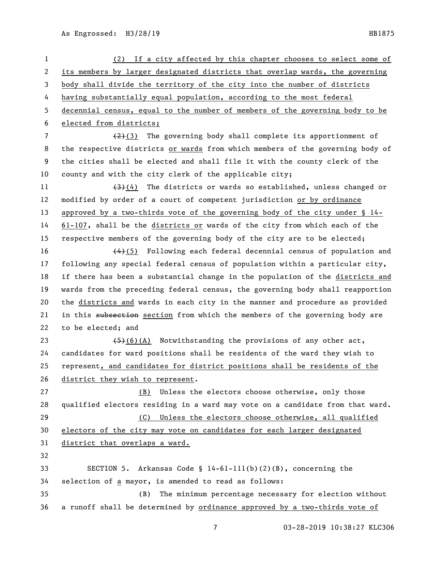| $\mathbf{1}$ | (2) If a city affected by this chapter chooses to select some of                                  |
|--------------|---------------------------------------------------------------------------------------------------|
| 2            | its members by larger designated districts that overlap wards, the governing                      |
| 3            | body shall divide the territory of the city into the number of districts                          |
| 4            | having substantially equal population, according to the most federal                              |
| 5            | decennial census, equal to the number of members of the governing body to be                      |
| 6            | elected from districts;                                                                           |
| 7            | The governing body shall complete its apportionment of<br><del>(2)</del> (3)                      |
| 8            | the respective districts or wards from which members of the governing body of                     |
| 9            | the cities shall be elected and shall file it with the county clerk of the                        |
| 10           | county and with the city clerk of the applicable city;                                            |
| 11           | $\left(\frac{4}{3}\right)\left(4\right)$ The districts or wards so established, unless changed or |
| 12           | modified by order of a court of competent jurisdiction or by ordinance                            |
| 13           | approved by a two-thirds vote of the governing body of the city under $\S$ 14-                    |
| 14           | $61-107$ , shall be the districts or wards of the city from which each of the                     |
| 15           | respective members of the governing body of the city are to be elected;                           |
| 16           | $\overline{(4)(5)}$ Following each federal decennial census of population and                     |
| 17           | following any special federal census of population within a particular city,                      |
| 18           | if there has been a substantial change in the population of the districts and                     |
| 19           | wards from the preceding federal census, the governing body shall reapportion                     |
| 20           | the districts and wards in each city in the manner and procedure as provided                      |
| 21           | in this subsection section from which the members of the governing body are                       |
| 22           | to be elected; and                                                                                |
| 23           | $(5)(6)(A)$ Notwithstanding the provisions of any other act,                                      |
| 24           | candidates for ward positions shall be residents of the ward they wish to                         |
| 25           | represent, and candidates for district positions shall be residents of the                        |
| 26           | district they wish to represent.                                                                  |
| 27           | (B) Unless the electors choose otherwise, only those                                              |
| 28           | qualified electors residing in a ward may vote on a candidate from that ward.                     |
| 29           | Unless the electors choose otherwise, all qualified<br>(C)                                        |
| 30           | electors of the city may vote on candidates for each larger designated                            |
| 31           | district that overlaps a ward.                                                                    |
| 32           |                                                                                                   |
| 33           | SECTION 5. Arkansas Code $\S$ 14-61-111(b)(2)(B), concerning the                                  |
| 34           | selection of a mayor, is amended to read as follows:                                              |
| 35           | The minimum percentage necessary for election without<br>(B)                                      |
| 36           | a runoff shall be determined by ordinance approved by a two-thirds vote of                        |

03-28-2019 10:38:27 KLC306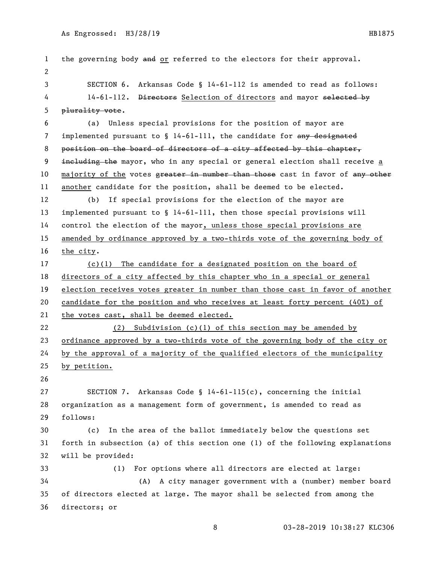1 the governing body and or referred to the electors for their approval. SECTION 6. Arkansas Code § 14-61-112 is amended to read as follows: 4 14-61-112. Directors Selection of directors and mayor selected by plurality vote. (a) Unless special provisions for the position of mayor are 7 implemented pursuant to § 14-61-111, the candidate for any designated position on the board of directors of a city affected by this chapter, 9 including the mayor, who in any special or general election shall receive a 10 majority of the votes greater in number than those cast in favor of any other another candidate for the position, shall be deemed to be elected. (b) If special provisions for the election of the mayor are implemented pursuant to § 14-61-111, then those special provisions will control the election of the mayor, unless those special provisions are amended by ordinance approved by a two-thirds vote of the governing body of the city. (c)(1) The candidate for a designated position on the board of directors of a city affected by this chapter who in a special or general election receives votes greater in number than those cast in favor of another candidate for the position and who receives at least forty percent (40%) of the votes cast, shall be deemed elected. (2) Subdivision (c)(1) of this section may be amended by ordinance approved by a two-thirds vote of the governing body of the city or by the approval of a majority of the qualified electors of the municipality by petition. SECTION 7. Arkansas Code § 14-61-115(c), concerning the initial organization as a management form of government, is amended to read as follows: (c) In the area of the ballot immediately below the questions set forth in subsection (a) of this section one (1) of the following explanations will be provided: (1) For options where all directors are elected at large: (A) A city manager government with a (number) member board of directors elected at large. The mayor shall be selected from among the directors; or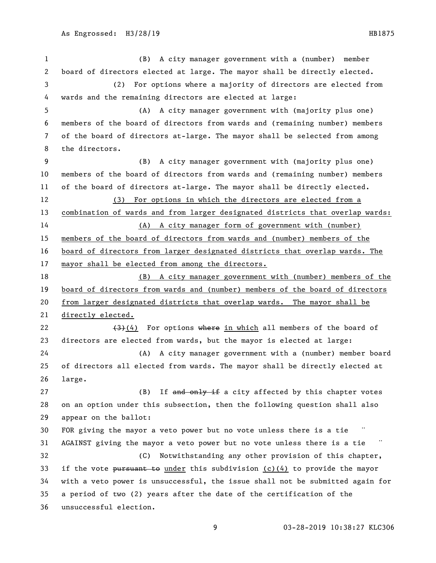(B) A city manager government with a (number) member board of directors elected at large. The mayor shall be directly elected. (2) For options where a majority of directors are elected from wards and the remaining directors are elected at large: (A) A city manager government with (majority plus one) members of the board of directors from wards and (remaining number) members of the board of directors at-large. The mayor shall be selected from among the directors. (B) A city manager government with (majority plus one) members of the board of directors from wards and (remaining number) members of the board of directors at-large. The mayor shall be directly elected. (3) For options in which the directors are elected from a combination of wards and from larger designated districts that overlap wards: (A) A city manager form of government with (number) members of the board of directors from wards and (number) members of the board of directors from larger designated districts that overlap wards. The mayor shall be elected from among the directors. (B) A city manager government with (number) members of the board of directors from wards and (number) members of the board of directors from larger designated districts that overlap wards. The mayor shall be directly elected.  $(3)(4)$  For options where in which all members of the board of directors are elected from wards, but the mayor is elected at large: (A) A city manager government with a (number) member board of directors all elected from wards. The mayor shall be directly elected at large. 27 (B) If and only if a city affected by this chapter votes on an option under this subsection, then the following question shall also appear on the ballot: 30 FOR giving the mayor a veto power but no vote unless there is a tie 31 AGAINST giving the mayor a veto power but no vote unless there is a tie (C) Notwithstanding any other provision of this chapter, 33 if the vote pursuant to under this subdivision (c)(4) to provide the mayor with a veto power is unsuccessful, the issue shall not be submitted again for a period of two (2) years after the date of the certification of the unsuccessful election.